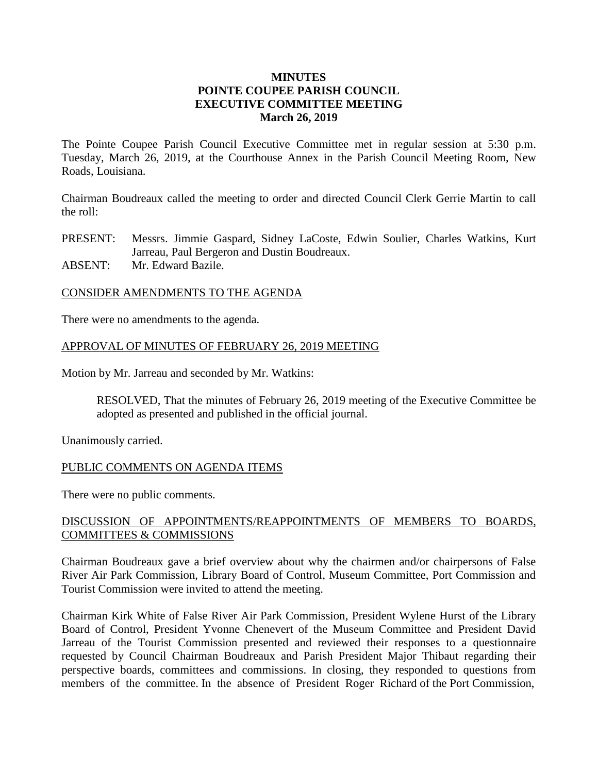### **MINUTES POINTE COUPEE PARISH COUNCIL EXECUTIVE COMMITTEE MEETING March 26, 2019**

The Pointe Coupee Parish Council Executive Committee met in regular session at 5:30 p.m. Tuesday, March 26, 2019, at the Courthouse Annex in the Parish Council Meeting Room, New Roads, Louisiana.

Chairman Boudreaux called the meeting to order and directed Council Clerk Gerrie Martin to call the roll:

PRESENT: Messrs. Jimmie Gaspard, Sidney LaCoste, Edwin Soulier, Charles Watkins, Kurt Jarreau, Paul Bergeron and Dustin Boudreaux.

ABSENT: Mr. Edward Bazile.

#### CONSIDER AMENDMENTS TO THE AGENDA

There were no amendments to the agenda.

#### APPROVAL OF MINUTES OF FEBRUARY 26, 2019 MEETING

Motion by Mr. Jarreau and seconded by Mr. Watkins:

RESOLVED, That the minutes of February 26, 2019 meeting of the Executive Committee be adopted as presented and published in the official journal.

Unanimously carried.

#### PUBLIC COMMENTS ON AGENDA ITEMS

There were no public comments.

### DISCUSSION OF APPOINTMENTS/REAPPOINTMENTS OF MEMBERS TO BOARDS, COMMITTEES & COMMISSIONS

Chairman Boudreaux gave a brief overview about why the chairmen and/or chairpersons of False River Air Park Commission, Library Board of Control, Museum Committee, Port Commission and Tourist Commission were invited to attend the meeting.

Chairman Kirk White of False River Air Park Commission, President Wylene Hurst of the Library Board of Control, President Yvonne Chenevert of the Museum Committee and President David Jarreau of the Tourist Commission presented and reviewed their responses to a questionnaire requested by Council Chairman Boudreaux and Parish President Major Thibaut regarding their perspective boards, committees and commissions. In closing, they responded to questions from members of the committee. In the absence of President Roger Richard of the Port Commission,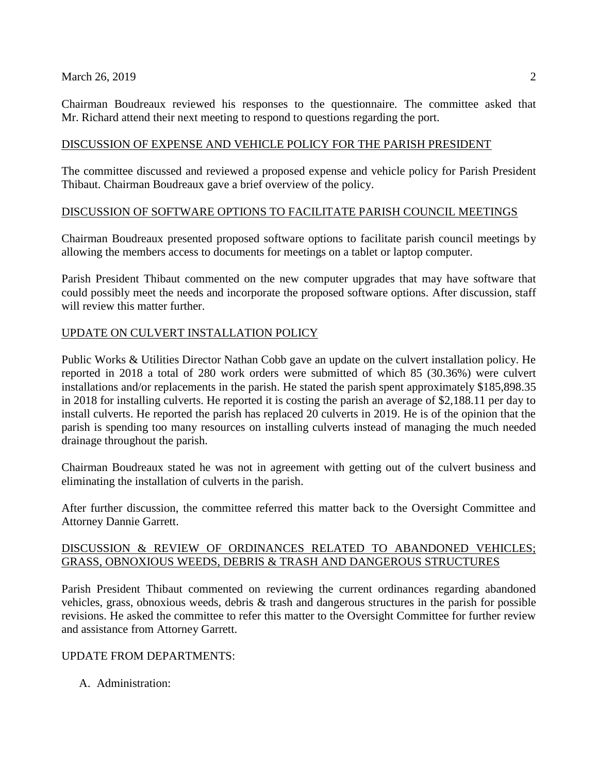Chairman Boudreaux reviewed his responses to the questionnaire. The committee asked that Mr. Richard attend their next meeting to respond to questions regarding the port.

### DISCUSSION OF EXPENSE AND VEHICLE POLICY FOR THE PARISH PRESIDENT

The committee discussed and reviewed a proposed expense and vehicle policy for Parish President Thibaut. Chairman Boudreaux gave a brief overview of the policy.

### DISCUSSION OF SOFTWARE OPTIONS TO FACILITATE PARISH COUNCIL MEETINGS

Chairman Boudreaux presented proposed software options to facilitate parish council meetings by allowing the members access to documents for meetings on a tablet or laptop computer.

Parish President Thibaut commented on the new computer upgrades that may have software that could possibly meet the needs and incorporate the proposed software options. After discussion, staff will review this matter further.

# UPDATE ON CULVERT INSTALLATION POLICY

Public Works & Utilities Director Nathan Cobb gave an update on the culvert installation policy. He reported in 2018 a total of 280 work orders were submitted of which 85 (30.36%) were culvert installations and/or replacements in the parish. He stated the parish spent approximately \$185,898.35 in 2018 for installing culverts. He reported it is costing the parish an average of \$2,188.11 per day to install culverts. He reported the parish has replaced 20 culverts in 2019. He is of the opinion that the parish is spending too many resources on installing culverts instead of managing the much needed drainage throughout the parish.

Chairman Boudreaux stated he was not in agreement with getting out of the culvert business and eliminating the installation of culverts in the parish.

After further discussion, the committee referred this matter back to the Oversight Committee and Attorney Dannie Garrett.

# DISCUSSION & REVIEW OF ORDINANCES RELATED TO ABANDONED VEHICLES; GRASS, OBNOXIOUS WEEDS, DEBRIS & TRASH AND DANGEROUS STRUCTURES

Parish President Thibaut commented on reviewing the current ordinances regarding abandoned vehicles, grass, obnoxious weeds, debris & trash and dangerous structures in the parish for possible revisions. He asked the committee to refer this matter to the Oversight Committee for further review and assistance from Attorney Garrett.

# UPDATE FROM DEPARTMENTS:

A. Administration: